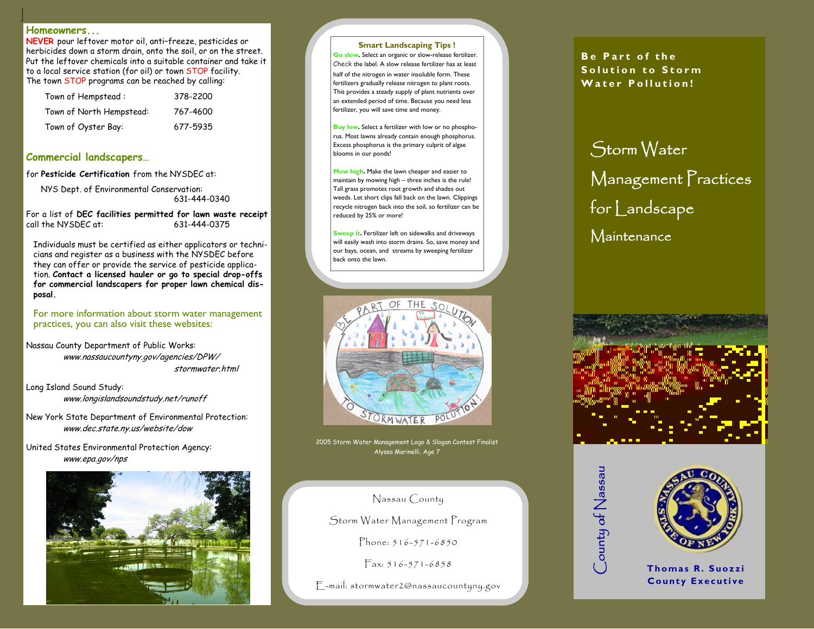### **Homeowners...**

**NEVER** pour leftover motor oil, anti–freeze, pesticides or herbicides down a storm drain, onto the soil, or on the street. Put the leftover chemicals into a suitable container and take it to a local service station (for oil) or town STOP facility. The town STOP programs can be reached by calling:

| $\bullet$ | Town of Hempstead:       | 378-2200 |
|-----------|--------------------------|----------|
| $\bullet$ | Town of North Hempstead: | 767-4600 |
|           |                          |          |

• Town of Oyster Bay: 677-5935

### **Commercial landscapers…**

for **Pesticide Certification** from the NYSDEC at:

 NYS Dept. of Environmental Conservation: 631-444-0340

For a list of **DEC facilities permitted for lawn waste receipt**  call the NYSDEC at:

Individuals must be certified as either applicators or technicians and register as a business with the NYSDEC before they can offer or provide the service of pesticide application. **Contact a licensed hauler or go to special drop-offs for commercial landscapers for proper lawn chemical disposal.**

#### For more information about storm water management practices, you can also visit these websites:

Nassau County Department of Public Works: www.nassaucountyny.gov/agencies/DPW/ stormwater.html

Long Island Sound Study: www.longislandsoundstudy.net/runoff

New York State Department of Environmental Protection: www.dec.state.ny.us/website/dow

United States Environmental Protection Agency: www.epa.gov/nps



#### **Smart Landscaping Tips !**

**Go slow.** Select an organic or slow-release fertilizer. Check the label. A slow release fertilizer has at least half of the nitrogen in water insoluble form. These fertilizers gradually release nitrogen to plant roots. This provides a steady supply of plant nutrients over an extended period of time. Because you need less fertilizer, you will save time and money.

**Buy low.** Select a fertilizer with low or no phosphorus. Most lawns already contain enough phosphorus. Excess phosphorus is the primary culprit of algae blooms in our ponds!

**Mow high.** Make the lawn cheaper and easier to maintain by mowing high – three inches is the rule! Tall grass promotes root growth and shades out weeds. Let short clips fall back on the lawn. Clippings recycle nitrogen back into the soil, so fertilizer can be reduced by 25% or more!

**Sweep it.** Fertilizer left on sidewalks and driveways will easily wash into storm drains. So, save money and our bays, ocean, and streams by sweeping fertilizer back onto the lawn.



2005 Storm Water Management Logo & Slogan Contest Finalist Alyssa Marinelli, Age 7

## Nassau County

Storm Water Management Program

Phone: 516-571-6850

Fax: 516-571-6858

E-mail: stormwater2@nassaucountyny.gov

**Be Part of the Solution to Storm Water Pollution!** 

Storm Water Management Practices for Landscape Maintenance







**Thomas R. Suozzi County Executive**